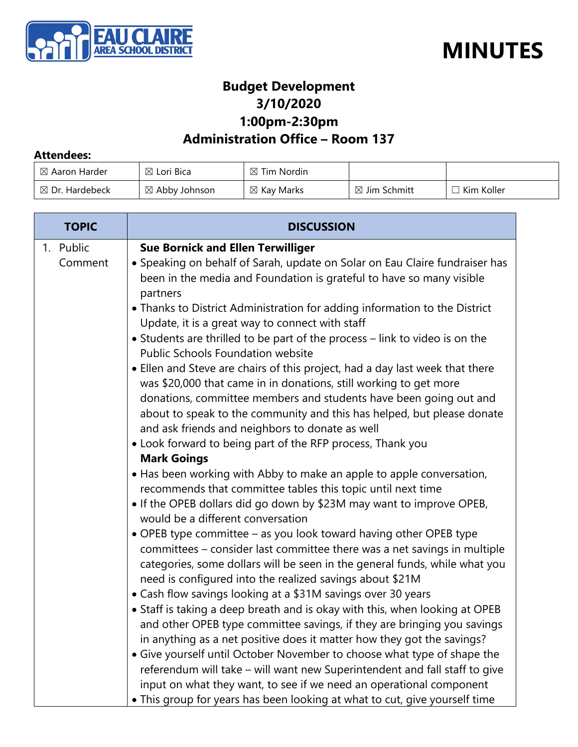



### **Budget Development 3/10/2020 1:00pm-2:30pm**

### **Administration Office – Room 137**

#### **Attendees:**

| $\boxtimes$ Aaron Harder  | $\boxtimes$ Lori Bica    | $\boxtimes$ Tim Nordin |                         |            |
|---------------------------|--------------------------|------------------------|-------------------------|------------|
| $\boxtimes$ Dr. Hardebeck | $\boxtimes$ Abby Johnson | $\boxtimes$ Kay Marks  | $\boxtimes$ Jim Schmitt | Kim Koller |

| <b>TOPIC</b>         | <b>DISCUSSION</b>                                                                                                                                                                                                                                                                                                                                   |  |
|----------------------|-----------------------------------------------------------------------------------------------------------------------------------------------------------------------------------------------------------------------------------------------------------------------------------------------------------------------------------------------------|--|
| 1. Public<br>Comment | <b>Sue Bornick and Ellen Terwilliger</b><br>• Speaking on behalf of Sarah, update on Solar on Eau Claire fundraiser has<br>been in the media and Foundation is grateful to have so many visible<br>partners                                                                                                                                         |  |
|                      | • Thanks to District Administration for adding information to the District<br>Update, it is a great way to connect with staff<br>• Students are thrilled to be part of the process - link to video is on the<br>Public Schools Foundation website                                                                                                   |  |
|                      | • Ellen and Steve are chairs of this project, had a day last week that there<br>was \$20,000 that came in in donations, still working to get more<br>donations, committee members and students have been going out and<br>about to speak to the community and this has helped, but please donate<br>and ask friends and neighbors to donate as well |  |
|                      | • Look forward to being part of the RFP process, Thank you<br><b>Mark Goings</b>                                                                                                                                                                                                                                                                    |  |
|                      | • Has been working with Abby to make an apple to apple conversation,<br>recommends that committee tables this topic until next time<br>• If the OPEB dollars did go down by \$23M may want to improve OPEB,                                                                                                                                         |  |
|                      | would be a different conversation<br>• OPEB type committee - as you look toward having other OPEB type<br>committees - consider last committee there was a net savings in multiple<br>categories, some dollars will be seen in the general funds, while what you<br>need is configured into the realized savings about \$21M                        |  |
|                      | • Cash flow savings looking at a \$31M savings over 30 years<br>• Staff is taking a deep breath and is okay with this, when looking at OPEB<br>and other OPEB type committee savings, if they are bringing you savings<br>in anything as a net positive does it matter how they got the savings?                                                    |  |
|                      | • Give yourself until October November to choose what type of shape the<br>referendum will take - will want new Superintendent and fall staff to give<br>input on what they want, to see if we need an operational component<br>• This group for years has been looking at what to cut, give yourself time                                          |  |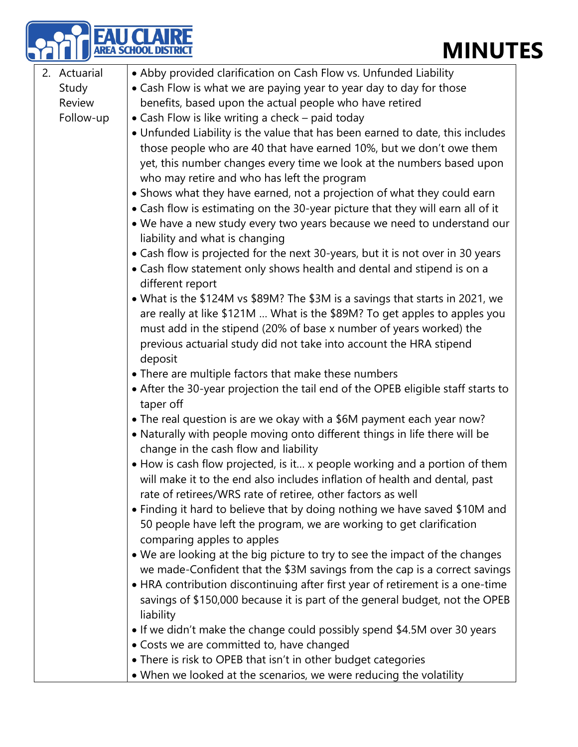# **MINUTES**

|              | <b>MINUT</b><br>EA SCHOOL DISTRI                                                                                                                                                                                                                                                                                                                                                                                                                                                                                                                                                                                                                                                                                                                                                                                                                                                                                                                                          |
|--------------|---------------------------------------------------------------------------------------------------------------------------------------------------------------------------------------------------------------------------------------------------------------------------------------------------------------------------------------------------------------------------------------------------------------------------------------------------------------------------------------------------------------------------------------------------------------------------------------------------------------------------------------------------------------------------------------------------------------------------------------------------------------------------------------------------------------------------------------------------------------------------------------------------------------------------------------------------------------------------|
| 2. Actuarial | • Abby provided clarification on Cash Flow vs. Unfunded Liability                                                                                                                                                                                                                                                                                                                                                                                                                                                                                                                                                                                                                                                                                                                                                                                                                                                                                                         |
| Study        | • Cash Flow is what we are paying year to year day to day for those                                                                                                                                                                                                                                                                                                                                                                                                                                                                                                                                                                                                                                                                                                                                                                                                                                                                                                       |
| Review       | benefits, based upon the actual people who have retired                                                                                                                                                                                                                                                                                                                                                                                                                                                                                                                                                                                                                                                                                                                                                                                                                                                                                                                   |
| Follow-up    | • Cash Flow is like writing a check - paid today                                                                                                                                                                                                                                                                                                                                                                                                                                                                                                                                                                                                                                                                                                                                                                                                                                                                                                                          |
|              | . Unfunded Liability is the value that has been earned to date, this includes<br>those people who are 40 that have earned 10%, but we don't owe them<br>yet, this number changes every time we look at the numbers based upon<br>who may retire and who has left the program<br>• Shows what they have earned, not a projection of what they could earn<br>• Cash flow is estimating on the 30-year picture that they will earn all of it<br>. We have a new study every two years because we need to understand our<br>liability and what is changing<br>• Cash flow is projected for the next 30-years, but it is not over in 30 years<br>• Cash flow statement only shows health and dental and stipend is on a<br>different report<br>• What is the \$124M vs \$89M? The \$3M is a savings that starts in 2021, we<br>are really at like \$121M  What is the \$89M? To get apples to apples you<br>must add in the stipend (20% of base x number of years worked) the |
|              | previous actuarial study did not take into account the HRA stipend<br>deposit                                                                                                                                                                                                                                                                                                                                                                                                                                                                                                                                                                                                                                                                                                                                                                                                                                                                                             |
|              | • There are multiple factors that make these numbers                                                                                                                                                                                                                                                                                                                                                                                                                                                                                                                                                                                                                                                                                                                                                                                                                                                                                                                      |
|              | • After the 30-year projection the tail end of the OPEB eligible staff starts to<br>taper off                                                                                                                                                                                                                                                                                                                                                                                                                                                                                                                                                                                                                                                                                                                                                                                                                                                                             |
|              | • The real question is are we okay with a \$6M payment each year now?<br>• Naturally with people moving onto different things in life there will be<br>change in the cash flow and liability                                                                                                                                                                                                                                                                                                                                                                                                                                                                                                                                                                                                                                                                                                                                                                              |
|              | • How is cash flow projected, is it x people working and a portion of them<br>will make it to the end also includes inflation of health and dental, past<br>rate of retirees/WRS rate of retiree, other factors as well                                                                                                                                                                                                                                                                                                                                                                                                                                                                                                                                                                                                                                                                                                                                                   |
|              | • Finding it hard to believe that by doing nothing we have saved \$10M and<br>50 people have left the program, we are working to get clarification<br>comparing apples to apples                                                                                                                                                                                                                                                                                                                                                                                                                                                                                                                                                                                                                                                                                                                                                                                          |
|              | • We are looking at the big picture to try to see the impact of the changes<br>we made-Confident that the \$3M savings from the cap is a correct savings                                                                                                                                                                                                                                                                                                                                                                                                                                                                                                                                                                                                                                                                                                                                                                                                                  |
|              | • HRA contribution discontinuing after first year of retirement is a one-time<br>savings of \$150,000 because it is part of the general budget, not the OPEB<br>liability                                                                                                                                                                                                                                                                                                                                                                                                                                                                                                                                                                                                                                                                                                                                                                                                 |
|              | . If we didn't make the change could possibly spend \$4.5M over 30 years                                                                                                                                                                                                                                                                                                                                                                                                                                                                                                                                                                                                                                                                                                                                                                                                                                                                                                  |
|              | • Costs we are committed to, have changed                                                                                                                                                                                                                                                                                                                                                                                                                                                                                                                                                                                                                                                                                                                                                                                                                                                                                                                                 |
|              | • There is risk to OPEB that isn't in other budget categories                                                                                                                                                                                                                                                                                                                                                                                                                                                                                                                                                                                                                                                                                                                                                                                                                                                                                                             |
|              | • When we looked at the scenarios, we were reducing the volatility                                                                                                                                                                                                                                                                                                                                                                                                                                                                                                                                                                                                                                                                                                                                                                                                                                                                                                        |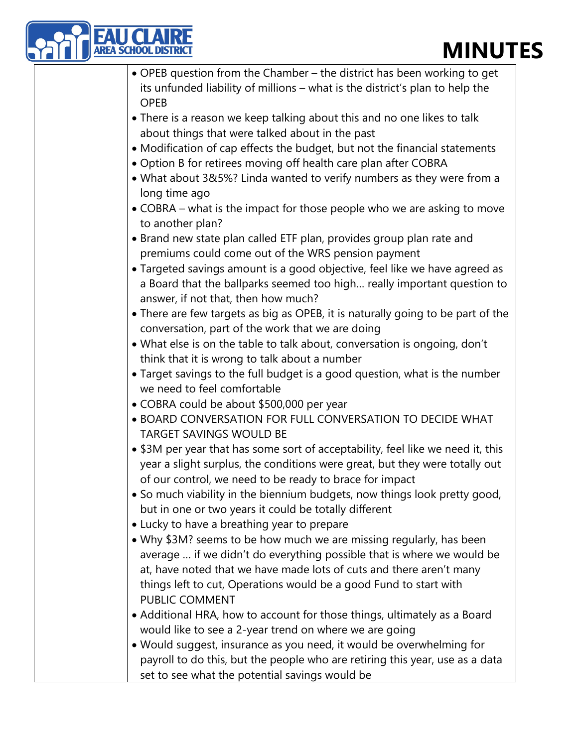## **MINUTES**

| EA SCHOOL DIST<br><b>MINUT</b>                                                                                                                                                               |
|----------------------------------------------------------------------------------------------------------------------------------------------------------------------------------------------|
| • OPEB question from the Chamber – the district has been working to get                                                                                                                      |
| its unfunded liability of millions – what is the district's plan to help the<br><b>OPEB</b>                                                                                                  |
| • There is a reason we keep talking about this and no one likes to talk<br>about things that were talked about in the past                                                                   |
| • Modification of cap effects the budget, but not the financial statements<br>• Option B for retirees moving off health care plan after COBRA                                                |
| • What about 3&5%? Linda wanted to verify numbers as they were from a<br>long time ago                                                                                                       |
| • COBRA – what is the impact for those people who we are asking to move<br>to another plan?                                                                                                  |
| • Brand new state plan called ETF plan, provides group plan rate and                                                                                                                         |
| premiums could come out of the WRS pension payment                                                                                                                                           |
| • Targeted savings amount is a good objective, feel like we have agreed as<br>a Board that the ballparks seemed too high really important question to<br>answer, if not that, then how much? |
| • There are few targets as big as OPEB, it is naturally going to be part of the<br>conversation, part of the work that we are doing                                                          |
| • What else is on the table to talk about, conversation is ongoing, don't<br>think that it is wrong to talk about a number                                                                   |
| • Target savings to the full budget is a good question, what is the number<br>we need to feel comfortable                                                                                    |
| • COBRA could be about \$500,000 per year                                                                                                                                                    |
| . BOARD CONVERSATION FOR FULL CONVERSATION TO DECIDE WHAT<br><b>TARGET SAVINGS WOULD BE</b>                                                                                                  |
| • \$3M per year that has some sort of acceptability, feel like we need it, this                                                                                                              |
| year a slight surplus, the conditions were great, but they were totally out<br>of our control, we need to be ready to brace for impact                                                       |
| • So much viability in the biennium budgets, now things look pretty good,<br>but in one or two years it could be totally different                                                           |
| • Lucky to have a breathing year to prepare                                                                                                                                                  |
| • Why \$3M? seems to be how much we are missing regularly, has been                                                                                                                          |
| average  if we didn't do everything possible that is where we would be                                                                                                                       |
| at, have noted that we have made lots of cuts and there aren't many                                                                                                                          |
| things left to cut, Operations would be a good Fund to start with                                                                                                                            |
| PUBLIC COMMENT                                                                                                                                                                               |
| • Additional HRA, how to account for those things, ultimately as a Board                                                                                                                     |
| would like to see a 2-year trend on where we are going                                                                                                                                       |
| • Would suggest, insurance as you need, it would be overwhelming for                                                                                                                         |
| payroll to do this, but the people who are retiring this year, use as a data                                                                                                                 |
| set to see what the potential savings would be                                                                                                                                               |